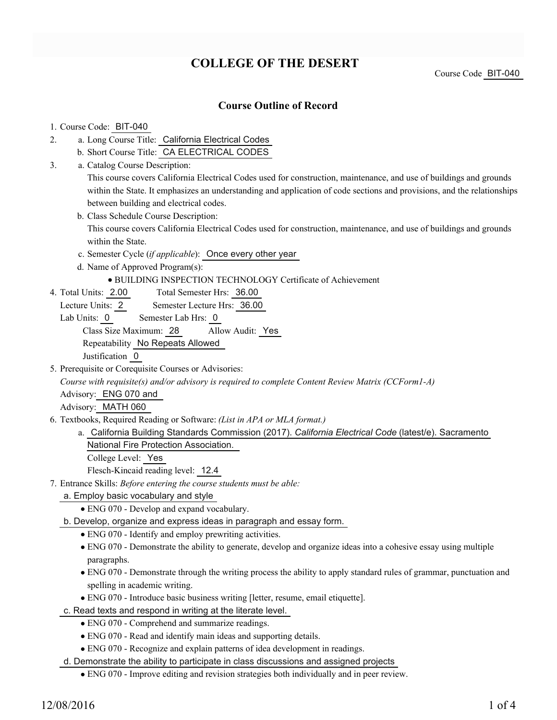# **COLLEGE OF THE DESERT**

Course Code BIT-040

### **Course Outline of Record**

#### 1. Course Code: BIT-040

- a. Long Course Title: California Electrical Codes 2.
	- b. Short Course Title: CA ELECTRICAL CODES
- Catalog Course Description: a. 3.

This course covers California Electrical Codes used for construction, maintenance, and use of buildings and grounds within the State. It emphasizes an understanding and application of code sections and provisions, and the relationships between building and electrical codes.

b. Class Schedule Course Description:

This course covers California Electrical Codes used for construction, maintenance, and use of buildings and grounds within the State.

- c. Semester Cycle (*if applicable*): Once every other year
- d. Name of Approved Program(s):
	- BUILDING INSPECTION TECHNOLOGY Certificate of Achievement
- Total Semester Hrs: 36.00 4. Total Units: 2.00
	- Lecture Units: 2 Semester Lecture Hrs: 36.00
	- Lab Units: 0 Semester Lab Hrs: 0

Class Size Maximum: 28 Allow Audit: Yes

Repeatability No Repeats Allowed

Justification 0

5. Prerequisite or Corequisite Courses or Advisories:

*Course with requisite(s) and/or advisory is required to complete Content Review Matrix (CCForm1-A)*

Advisory: ENG 070 and

Advisory: MATH 060

- Textbooks, Required Reading or Software: *(List in APA or MLA format.)* 6.
	- a. California Building Standards Commission (2017). *California Electrical Code* (latest/e). Sacramento

National Fire Protection Association.

College Level: Yes

Flesch-Kincaid reading level: 12.4

- Entrance Skills: *Before entering the course students must be able:* 7.
	- a. Employ basic vocabulary and style
		- ENG 070 Develop and expand vocabulary.
	- b. Develop, organize and express ideas in paragraph and essay form.
		- ENG 070 Identify and employ prewriting activities.
		- ENG 070 Demonstrate the ability to generate, develop and organize ideas into a cohesive essay using multiple paragraphs.
		- ENG 070 Demonstrate through the writing process the ability to apply standard rules of grammar, punctuation and spelling in academic writing.
		- ENG 070 Introduce basic business writing [letter, resume, email etiquette].
	- c. Read texts and respond in writing at the literate level.
		- ENG 070 Comprehend and summarize readings.
		- ENG 070 Read and identify main ideas and supporting details.
		- ENG 070 Recognize and explain patterns of idea development in readings.

d. Demonstrate the ability to participate in class discussions and assigned projects

ENG 070 - Improve editing and revision strategies both individually and in peer review.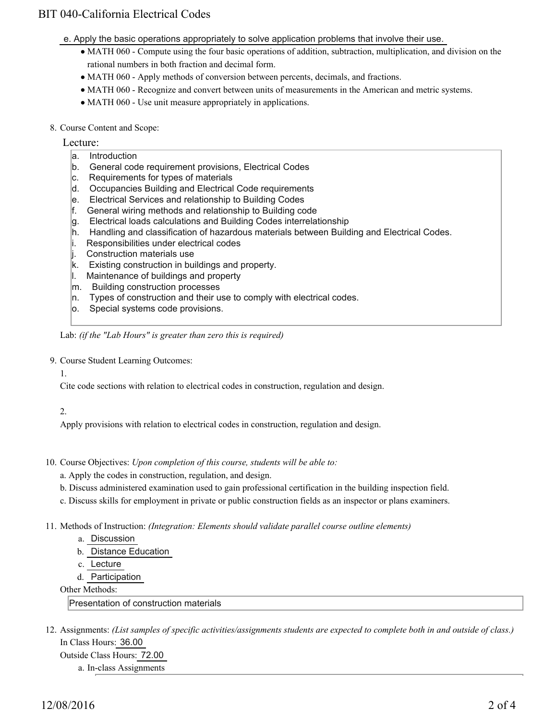## BIT 040-California Electrical Codes

- e. Apply the basic operations appropriately to solve application problems that involve their use.
	- MATH 060 Compute using the four basic operations of addition, subtraction, multiplication, and division on the rational numbers in both fraction and decimal form.
	- MATH 060 Apply methods of conversion between percents, decimals, and fractions.
	- MATH 060 Recognize and convert between units of measurements in the American and metric systems.
	- MATH 060 Use unit measure appropriately in applications.
- 8. Course Content and Scope:

#### Lecture:

- a. Introduction
- b. General code requirement provisions, Electrical Codes
- c. Requirements for types of materials
- d. Occupancies Building and Electrical Code requirements
- e. Electrical Services and relationship to Building Codes
- f. General wiring methods and relationship to Building code
- g. Electrical loads calculations and Building Codes interrelationship
- h. Handling and classification of hazardous materials between Building and Electrical Codes.
- i. Responsibilities under electrical codes
- j. Construction materials use
- k. Existing construction in buildings and property.
- l. Maintenance of buildings and property
- m. Building construction processes
- n. Types of construction and their use to comply with electrical codes.
- o. Special systems code provisions.

Lab: *(if the "Lab Hours" is greater than zero this is required)*

- 9. Course Student Learning Outcomes:
	- 1.

Cite code sections with relation to electrical codes in construction, regulation and design.

#### 2.

Apply provisions with relation to electrical codes in construction, regulation and design.

- 10. Course Objectives: Upon completion of this course, students will be able to:
	- a. Apply the codes in construction, regulation, and design.
	- b. Discuss administered examination used to gain professional certification in the building inspection field.
	- c. Discuss skills for employment in private or public construction fields as an inspector or plans examiners.
- Methods of Instruction: *(Integration: Elements should validate parallel course outline elements)* 11.
	- a. Discussion
	- b. Distance Education
	- c. Lecture
	- d. Participation

Other Methods:

Presentation of construction materials

12. Assignments: (List samples of specific activities/assignments students are expected to complete both in and outside of class.) In Class Hours: 36.00 Outside Class Hours: 72.00

a. In-class Assignments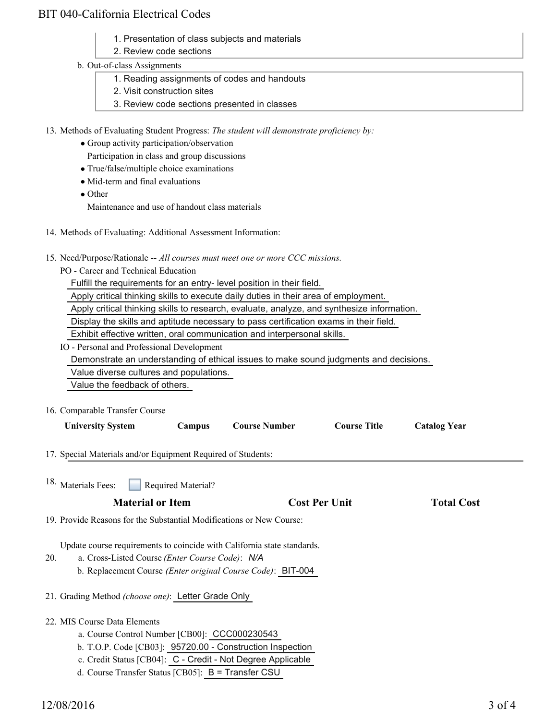## BIT 040-California Electrical Codes

- 1. Presentation of class subjects and materials
- 2. Review code sections
- b. Out-of-class Assignments
	- 1. Reading assignments of codes and handouts
	- 2. Visit construction sites
	- 3. Review code sections presented in classes

13. Methods of Evaluating Student Progress: The student will demonstrate proficiency by:

- Group activity participation/observation Participation in class and group discussions
- True/false/multiple choice examinations
- Mid-term and final evaluations

• Other Maintenance and use of handout class materials

- 14. Methods of Evaluating: Additional Assessment Information:
- 15. Need/Purpose/Rationale -- All courses must meet one or more CCC missions.
	- PO Career and Technical Education

Fulfill the requirements for an entry- level position in their field.

Apply critical thinking skills to execute daily duties in their area of employment.

Apply critical thinking skills to research, evaluate, analyze, and synthesize information.

Display the skills and aptitude necessary to pass certification exams in their field.

Exhibit effective written, oral communication and interpersonal skills.

IO - Personal and Professional Development

Demonstrate an understanding of ethical issues to make sound judgments and decisions.

Value diverse cultures and populations.

Value the feedback of others.

16. Comparable Transfer Course

| <b>University System</b>                                                                                                                                                                         | Campus             | <b>Course Number</b> | <b>Course Title</b>  | <b>Catalog Year</b> |  |
|--------------------------------------------------------------------------------------------------------------------------------------------------------------------------------------------------|--------------------|----------------------|----------------------|---------------------|--|
| 17. Special Materials and/or Equipment Required of Students:                                                                                                                                     |                    |                      |                      |                     |  |
| <sup>18.</sup> Materials Fees:                                                                                                                                                                   | Required Material? |                      |                      |                     |  |
| <b>Material or Item</b>                                                                                                                                                                          |                    |                      | <b>Cost Per Unit</b> | <b>Total Cost</b>   |  |
| 19. Provide Reasons for the Substantial Modifications or New Course:                                                                                                                             |                    |                      |                      |                     |  |
| Update course requirements to coincide with California state standards.<br>a. Cross-Listed Course (Enter Course Code): N/A<br>20.<br>b. Replacement Course (Enter original Course Code): BIT-004 |                    |                      |                      |                     |  |
| 21. Grading Method (choose one): Letter Grade Only                                                                                                                                               |                    |                      |                      |                     |  |
| 22. MIS Course Data Elements<br>a. Course Control Number [CB00]: CCC000230543                                                                                                                    |                    |                      |                      |                     |  |
|                                                                                                                                                                                                  |                    |                      |                      |                     |  |

- b. T.O.P. Code [CB03]: 95720.00 Construction Inspection
- c. Credit Status [CB04]: C Credit Not Degree Applicable
- d. Course Transfer Status [CB05]: B = Transfer CSU